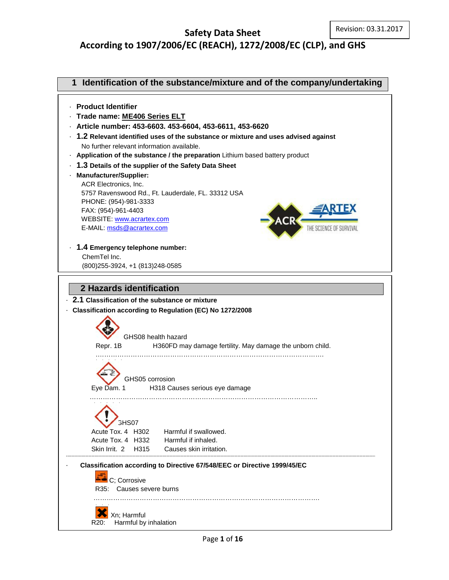## **Safety Data Sheet According to 1907/2006/EC (REACH), 1272/2008/EC (CLP), and GHS**

# **1 Identification of the substance/mixture and of the company/undertaking**



- · **Trade name: ME406 Series ELT**
- · **Article number: 453-6603. 453-6604, 453-6611, 453-6620**
- · **1.2 Relevant identified uses of the substance or mixture and uses advised against** No further relevant information available.
- · **Application of the substance / the preparation** Lithium based battery product
- · **1.3 Details of the supplier of the Safety Data Sheet**

### · **Manufacturer/Supplier:** ACR Electronics, Inc.

 5757 Ravenswood Rd., Ft. Lauderdale, FL. 33312 USA PHONE: (954)-981-3333 FAX: (954)-961-4403 WEBSITE[: www.acrartex.com](http://www.acrartex.com/) E-MAIL: [msds@acrartex.com](mailto:msds@acrartex.com)



· **1.4 Emergency telephone number:** ChemTel Inc.

(800)255-3924, +1 (813)248-0585

# **2 Hazards identification**

### · **2.1 Classification of the substance or mixture**

- · **Classification according to Regulation (EC) No 1272/2008**
	- GHS08 health hazard Repr. 1B H360FD may damage fertility. May damage the unborn child.

.………………………………………………………………………………………….

## GHS05 corrosion

 Eye Dam. 1 H318 Causes serious eye damage …………………………………………………………………………………………..

3HS07 Acute Tox. 4 H302 Harmful if swallowed. Acute Tox. 4 H332 Harmful if inhaled.

Skin Irrit. 2 H315 Causes skin irritation.

### · **Classification according to Directive 67/548/EEC or Directive 1999/45/EC**

C; Corrosive R35: Causes severe burns ………………………………………………………………………………………….

Xn; Harmful R20: Harmful by inhalation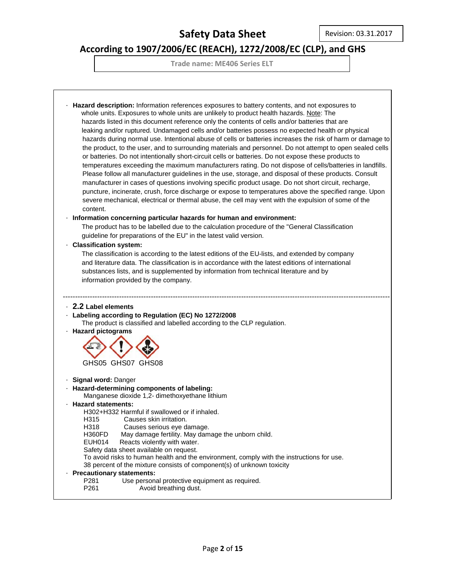# **According to 1907/2006/EC (REACH), 1272/2008/EC (CLP), and GHS**

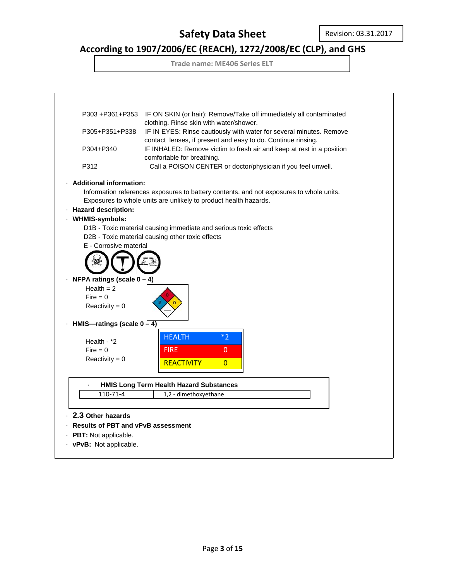# **According to 1907/2006/EC (REACH), 1272/2008/EC (CLP), and GHS**

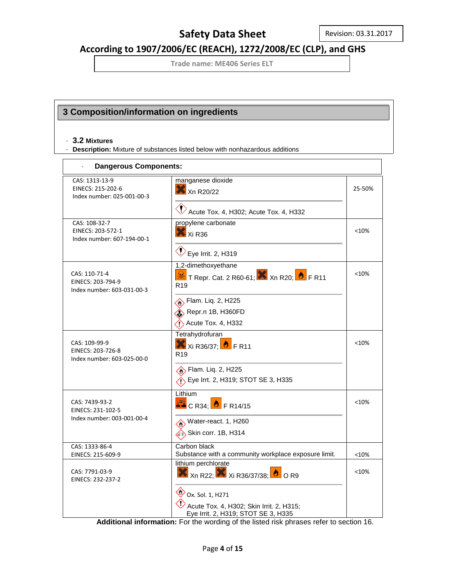## **According to 1907/2006/EC (REACH), 1272/2008/EC (CLP), and GHS**

**Trade name: ME406 Series ELT**

### **3 Composition/information on ingredients**

#### · **3.2 Mixtures**

· **Description:** Mixture of substances listed below with nonhazardous additions

| <b>Dangerous Components:</b>                                      |                                                                                                                |         |
|-------------------------------------------------------------------|----------------------------------------------------------------------------------------------------------------|---------|
| CAS: 1313-13-9<br>EINECS: 215-202-6<br>Index number: 025-001-00-3 | manganese dioxide<br>Xn R20/22                                                                                 | 25-50%  |
|                                                                   | Acute Tox. 4, H302; Acute Tox. 4, H332                                                                         |         |
| CAS: 108-32-7<br>EINECS: 203-572-1<br>Index number: 607-194-00-1  | propylene carbonate<br>Xi R <sub>36</sub>                                                                      | < 10%   |
|                                                                   | $\bigotimes$ Eye Irrit. 2, H319                                                                                |         |
| CAS: 110-71-4<br>EINECS: 203-794-9<br>Index number: 603-031-00-3  | 1,2-dimethoxyethane<br><mark>ॐ</mark> T Repr. Cat. 2 R60-61; X Xn R20; <mark>♦</mark> F R11<br>R <sub>19</sub> | < 10%   |
|                                                                   | Flam. Liq. 2, H225                                                                                             |         |
|                                                                   | Repr.n 1B, H360FD                                                                                              |         |
|                                                                   | $\Diamond$ Acute Tox. 4, H332                                                                                  |         |
| CAS: 109-99-9<br>EINECS: 203-726-8<br>Index number: 603-025-00-0  | Tetrahydrofuran<br>$X$ Xi R36/37; $\bullet$ F R11<br>R <sub>19</sub>                                           | $<$ 10% |
|                                                                   | Flam. Liq. 2, H225                                                                                             |         |
|                                                                   | Eye Irrt. 2, H319; STOT SE 3, H335                                                                             |         |
| CAS: 7439-93-2<br>EINECS: 231-102-5                               | Lithium<br>$E_0$ C R34; $\bullet$ F R14/15                                                                     | < 10%   |
| Index number: 003-001-00-4                                        | Water-react. 1, H260                                                                                           |         |
|                                                                   | Skin corr. 1B, H314                                                                                            |         |
| CAS: 1333-86-4<br>EINECS: 215-609-9                               | Carbon black<br>Substance with a community workplace exposure limit.                                           | < 10%   |
| CAS: 7791-03-9<br>EINECS: 232-237-2                               | lithium perchlorate<br>$\bigotimes$ Xn R22; $\bigotimes$ Xi R36/37/38; $\bigcirc$ O R9                         | < 10%   |
|                                                                   | Ox. Sol. 1, H271<br>Acute Tox. 4, H302; Skin Irrit. 2, H315;                                                   |         |
|                                                                   | Eye Irrit. 2, H319; STOT SE 3, H335                                                                            |         |

**Additional information:** For the wording of the listed risk phrases refer to section 16.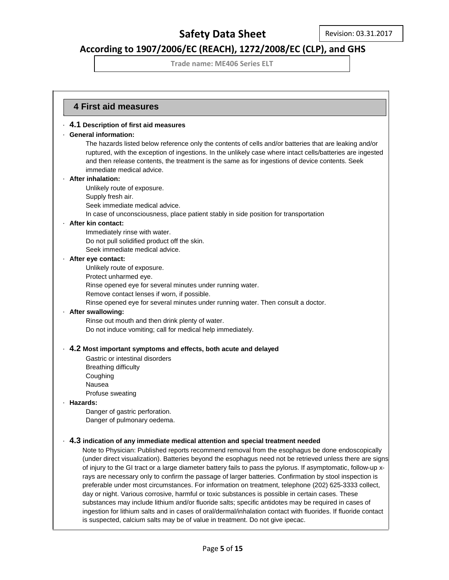### **According to 1907/2006/EC (REACH), 1272/2008/EC (CLP), and GHS**

**Trade name: ME406 Series ELT**

### **4 First aid measures** ·

· **4.1 Description of first aid measures**

#### · **General information:**

The hazards listed below reference only the contents of cells and/or batteries that are leaking and/or ruptured, with the exception of ingestions. In the unlikely case where intact cells/batteries are ingested and then release contents, the treatment is the same as for ingestions of device contents. Seek immediate medical advice.

#### · **After inhalation:**

Unlikely route of exposure.

Supply fresh air.

Seek immediate medical advice.

In case of unconsciousness, place patient stably in side position for transportation

#### · **After kin contact:**

Immediately rinse with water. Do not pull solidified product off the skin. Seek immediate medical advice.

#### · **After eye contact:**

Unlikely route of exposure.

Protect unharmed eye.

Rinse opened eye for several minutes under running water.

Remove contact lenses if worn, if possible.

Rinse opened eye for several minutes under running water. Then consult a doctor.

#### · **After swallowing:**

Rinse out mouth and then drink plenty of water. Do not induce vomiting; call for medical help immediately.

#### · **4.2 Most important symptoms and effects, both acute and delayed**

Gastric or intestinal disorders Breathing difficulty Coughing Nausea Profuse sweating

#### · **Hazards:**

Danger of gastric perforation. Danger of pulmonary oedema.

#### · **4.3 indication of any immediate medical attention and special treatment needed**

Note to Physician: Published reports recommend removal from the esophagus be done endoscopically (under direct visualization). Batteries beyond the esophagus need not be retrieved unless there are signs of injury to the GI tract or a large diameter battery fails to pass the pylorus. If asymptomatic, follow-up xrays are necessary only to confirm the passage of larger batteries. Confirmation by stool inspection is preferable under most circumstances. For information on treatment, telephone (202) 625-3333 collect, day or night. Various corrosive, harmful or toxic substances is possible in certain cases. These substances may include lithium and/or fluoride salts; specific antidotes may be required in cases of ingestion for lithium salts and in cases of oral/dermal/inhalation contact with fluorides. If fluoride contact is suspected, calcium salts may be of value in treatment. Do not give ipecac.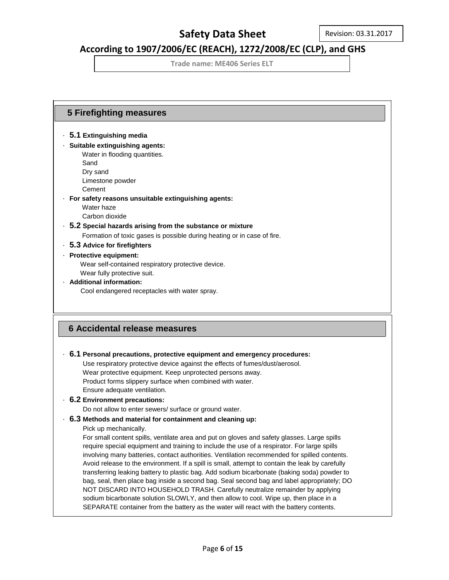### **According to 1907/2006/EC (REACH), 1272/2008/EC (CLP), and GHS**

**Trade name: ME406 Series ELT**

### **5 Firefighting measures 6 Accidental release measures** · **5.1 Extinguishing media** · **Suitable extinguishing agents:** Water in flooding quantities. Sand Dry sand Limestone powder Cement · **For safety reasons unsuitable extinguishing agents:** Water haze Carbon dioxide · **5.2 Special hazards arising from the substance or mixture** Formation of toxic gases is possible during heating or in case of fire. · **5.3 Advice for firefighters** · **Protective equipment:** Wear self-contained respiratory protective device. Wear fully protective suit. · **Additional information:** Cool endangered receptacles with water spray. · **6.1 Personal precautions, protective equipment and emergency procedures:** Use respiratory protective device against the effects of fumes/dust/aerosol. Wear protective equipment. Keep unprotected persons away. Product forms slippery surface when combined with water. Ensure adequate ventilation. · **6.2 Environment precautions:** Do not allow to enter sewers/ surface or ground water. · **6.3 Methods and material for containment and cleaning up:** Pick up mechanically. For small content spills, ventilate area and put on gloves and safety glasses. Large spills require special equipment and training to include the use of a respirator. For large spills involving many batteries, contact authorities. Ventilation recommended for spilled contents. Avoid release to the environment. If a spill is small, attempt to contain the leak by carefully transferring leaking battery to plastic bag. Add sodium bicarbonate (baking soda) powder to bag, seal, then place bag inside a second bag. Seal second bag and label appropriately; DO NOT DISCARD INTO HOUSEHOLD TRASH. Carefully neutralize remainder by applying sodium bicarbonate solution SLOWLY, and then allow to cool. Wipe up, then place in a SEPARATE container from the battery as the water will react with the battery contents.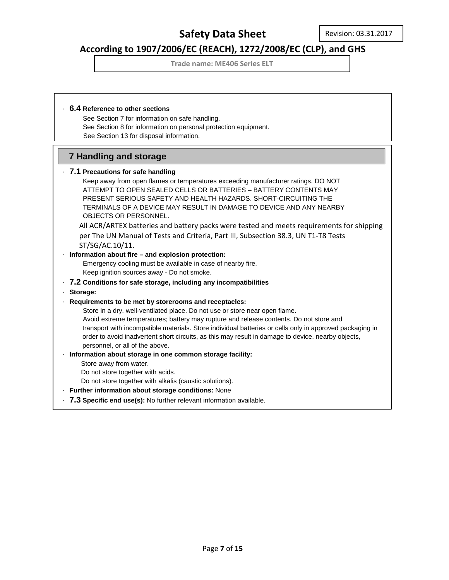### **According to 1907/2006/EC (REACH), 1272/2008/EC (CLP), and GHS**

**Trade name: ME406 Series ELT**

### · **6.4 Reference to other sections**

 See Section 7 for information on safe handling. See Section 8 for information on personal protection equipment. See Section 13 for disposal information.

### **7 Handling and storage**

### · **7.1 Precautions for safe handling**

 Keep away from open flames or temperatures exceeding manufacturer ratings. DO NOT ATTEMPT TO OPEN SEALED CELLS OR BATTERIES – BATTERY CONTENTS MAY PRESENT SERIOUS SAFETY AND HEALTH HAZARDS. SHORT-CIRCUITING THE TERMINALS OF A DEVICE MAY RESULT IN DAMAGE TO DEVICE AND ANY NEARBY OBJECTS OR PERSONNEL.

All ACR/ARTEX batteries and battery packs were tested and meets requirements for shipping per The UN Manual of Tests and Criteria, Part III, Subsection 38.3, UN T1-T8 Tests ST/SG/AC.10/11.

### · **Information about fire – and explosion protection:**

 Emergency cooling must be available in case of nearby fire. Keep ignition sources away - Do not smoke.

### · **7.2 Conditions for safe storage, including any incompatibilities**

· **Storage:**

#### · **Requirements to be met by storerooms and receptacles:**

 Store in a dry, well-ventilated place. Do not use or store near open flame. Avoid extreme temperatures; battery may rupture and release contents. Do not store and transport with incompatible materials. Store individual batteries or cells only in approved packaging in order to avoid inadvertent short circuits, as this may result in damage to device, nearby objects, personnel, or all of the above.

#### · **Information about storage in one common storage facility:**

Store away from water.

Do not store together with acids.

- Do not store together with alkalis (caustic solutions).
- · **Further information about storage conditions:** None
- · **7.3 Specific end use(s):** No further relevant information available.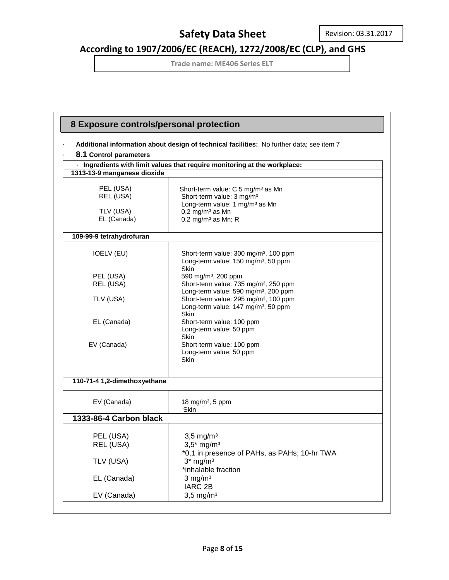# **According to 1907/2006/EC (REACH), 1272/2008/EC (CLP), and GHS**

| 8 Exposure controls/personal protection |                                                                                          |
|-----------------------------------------|------------------------------------------------------------------------------------------|
|                                         | Additional information about design of technical facilities: No further data; see item 7 |
| 8.1 Control parameters                  |                                                                                          |
|                                         | · Ingredients with limit values that require monitoring at the workplace:                |
| 1313-13-9 manganese dioxide             |                                                                                          |
|                                         |                                                                                          |
| PEL (USA)                               | Short-term value: C 5 mg/m <sup>3</sup> as Mn                                            |
| REL (USA)                               | Short-term value: 3 mg/m <sup>3</sup>                                                    |
| TLV (USA)                               | Long-term value: 1 mg/m <sup>3</sup> as Mn<br>$0,2$ mg/m <sup>3</sup> as Mn              |
| EL (Canada)                             | $0,2$ mg/m <sup>3</sup> as Mn; R                                                         |
|                                         |                                                                                          |
| 109-99-9 tetrahydrofuran                |                                                                                          |
| <b>IOELV (EU)</b>                       | Short-term value: 300 mg/m <sup>3</sup> , 100 ppm                                        |
|                                         | Long-term value: 150 mg/m <sup>3</sup> , 50 ppm                                          |
|                                         | <b>Skin</b>                                                                              |
| PEL (USA)<br>REL (USA)                  | 590 mg/m <sup>3</sup> , 200 ppm<br>Short-term value: 735 mg/m <sup>3</sup> , 250 ppm     |
|                                         | Long-term value: 590 mg/m <sup>3</sup> , 200 ppm                                         |
| TLV (USA)                               | Short-term value: 295 mg/m <sup>3</sup> , 100 ppm                                        |
|                                         | Long-term value: 147 mg/m <sup>3</sup> , 50 ppm                                          |
| EL (Canada)                             | <b>Skin</b><br>Short-term value: 100 ppm                                                 |
|                                         | Long-term value: 50 ppm                                                                  |
|                                         | Skin                                                                                     |
| EV (Canada)                             | Short-term value: 100 ppm<br>Long-term value: 50 ppm                                     |
|                                         | Skin                                                                                     |
|                                         |                                                                                          |
| 110-71-4 1,2-dimethoxyethane            |                                                                                          |
| EV (Canada)                             | 18 mg/m <sup>3</sup> , 5 ppm                                                             |
|                                         | <b>Skin</b>                                                                              |
| 1333-86-4 Carbon black                  |                                                                                          |
| PEL (USA)                               | $3,5$ mg/m <sup>3</sup>                                                                  |
| REL (USA)                               | $3,5*$ mg/m <sup>3</sup>                                                                 |
|                                         | *0,1 in presence of PAHs, as PAHs; 10-hr TWA                                             |
| TLV (USA)                               | $3*$ mg/m <sup>3</sup>                                                                   |
|                                         | *inhalable fraction                                                                      |
| EL (Canada)                             | $3$ mg/m <sup>3</sup>                                                                    |
|                                         | IARC <sub>2B</sub>                                                                       |
| EV (Canada)                             | $3,5$ mg/m <sup>3</sup>                                                                  |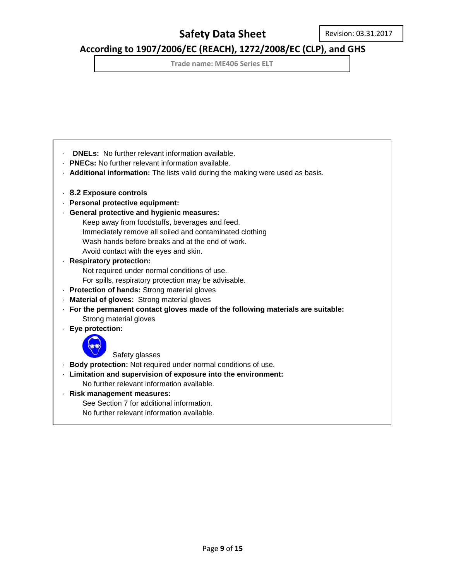## **According to 1907/2006/EC (REACH), 1272/2008/EC (CLP), and GHS**

**Trade name: ME406 Series ELT**

- · **DNELs:** No further relevant information available.
- · **PNECs:** No further relevant information available.
- · **Additional information:** The lists valid during the making were used as basis.
- · **8.2 Exposure controls**
- · **Personal protective equipment:**
- · **General protective and hygienic measures:**
	- Keep away from foodstuffs, beverages and feed.
	- Immediately remove all soiled and contaminated clothing
	- Wash hands before breaks and at the end of work.
	- Avoid contact with the eyes and skin.
- · **Respiratory protection:**
	- Not required under normal conditions of use.
	- For spills, respiratory protection may be advisable.
- · **Protection of hands:** Strong material gloves
- · **Material of gloves:** Strong material gloves
- · **For the permanent contact gloves made of the following materials are suitable:** Strong material gloves
- · **Eye protection:**



Safety glasses

- · **Body protection:** Not required under normal conditions of use.
- · **Limitation and supervision of exposure into the environment:**
- No further relevant information available.
- · **Risk management measures:**

See Section 7 for additional information.

No further relevant information available.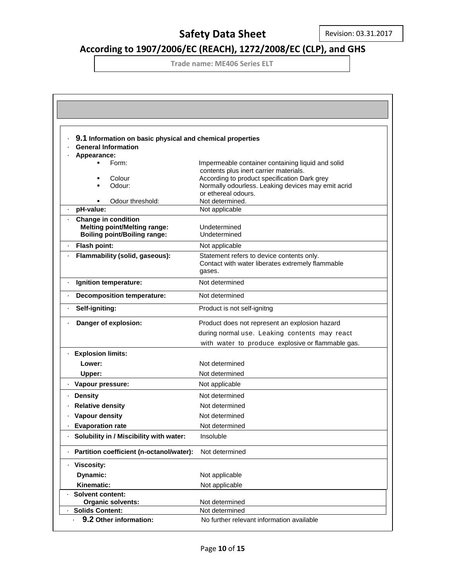# **According to 1907/2006/EC (REACH), 1272/2008/EC (CLP), and GHS**

| 9.1 Information on basic physical and chemical properties         |                                                                                             |
|-------------------------------------------------------------------|---------------------------------------------------------------------------------------------|
| <b>General Information</b>                                        |                                                                                             |
| Appearance:                                                       |                                                                                             |
| Form:                                                             | Impermeable container containing liquid and solid<br>contents plus inert carrier materials. |
| Colour                                                            | According to product specification Dark grey                                                |
| Odour:                                                            | Normally odourless. Leaking devices may emit acrid                                          |
|                                                                   | or ethereal odours.                                                                         |
| Odour threshold:                                                  | Not determined.                                                                             |
| pH-value:                                                         | Not applicable                                                                              |
| <b>Change in condition</b><br><b>Melting point/Melting range:</b> | Undetermined                                                                                |
| <b>Boiling point/Boiling range:</b>                               | Undetermined                                                                                |
| Flash point:<br>×.                                                | Not applicable                                                                              |
| Flammability (solid, gaseous):                                    | Statement refers to device contents only.                                                   |
|                                                                   | Contact with water liberates extremely flammable                                            |
|                                                                   | gases.                                                                                      |
| Ignition temperature:                                             | Not determined                                                                              |
| <b>Decomposition temperature:</b>                                 | Not determined                                                                              |
| Self-igniting:                                                    | Product is not self-ignitng                                                                 |
| Danger of explosion:                                              | Product does not represent an explosion hazard                                              |
|                                                                   | during normal use. Leaking contents may react                                               |
|                                                                   | with water to produce explosive or flammable gas.                                           |
| <b>Explosion limits:</b>                                          |                                                                                             |
| Lower:                                                            | Not determined                                                                              |
| Upper:                                                            | Not determined                                                                              |
| · Vapour pressure:                                                | Not applicable                                                                              |
| <b>Density</b>                                                    | Not determined                                                                              |
| <b>Relative density</b>                                           | Not determined                                                                              |
| Vapour density                                                    | Not determined                                                                              |
| <b>Evaporation rate</b>                                           | Not determined                                                                              |
| Solubility in / Miscibility with water:                           | Insoluble                                                                                   |
| Partition coefficient (n-octanol/water):                          | Not determined                                                                              |
| · Viscosity:                                                      |                                                                                             |
| Dynamic:                                                          | Not applicable                                                                              |
| Kinematic:                                                        | Not applicable                                                                              |
| <b>Solvent content:</b>                                           |                                                                                             |
| Organic solvents:                                                 | Not determined                                                                              |
| <b>Solids Content:</b>                                            | Not determined                                                                              |
| 9.2 Other information:                                            | No further relevant information available                                                   |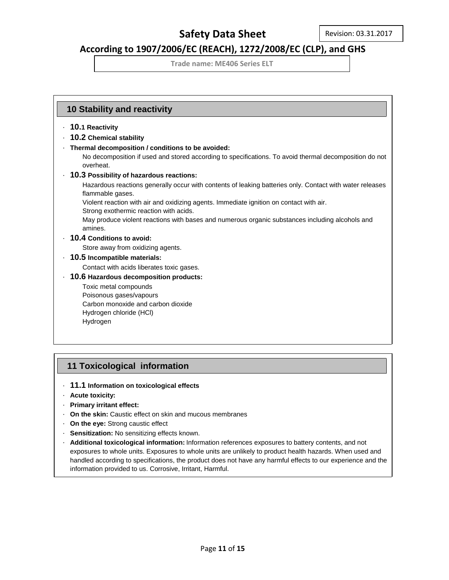### **According to 1907/2006/EC (REACH), 1272/2008/EC (CLP), and GHS**

**Trade name: ME406 Series ELT**

### **10 Stability and reactivity**

- · **10.1 Reactivity**
- · **10.2 Chemical stability**
- · **Thermal decomposition / conditions to be avoided:**

No decomposition if used and stored according to specifications. To avoid thermal decomposition do not overheat.

· **10.3 Possibility of hazardous reactions:**

Hazardous reactions generally occur with contents of leaking batteries only. Contact with water releases flammable gases.

Violent reaction with air and oxidizing agents. Immediate ignition on contact with air.

Strong exothermic reaction with acids.

May produce violent reactions with bases and numerous organic substances including alcohols and amines.

### · **10.4 Conditions to avoid:**

Store away from oxidizing agents.

· **10.5 Incompatible materials:**

Contact with acids liberates toxic gases.

· **10.6 Hazardous decomposition products:**

Toxic metal compounds Poisonous gases/vapours Carbon monoxide and carbon dioxide Hydrogen chloride (HCl) Hydrogen

### **11 Toxicological information**

- · **11.1 Information on toxicological effects**
- · **Acute toxicity:**
- · **Primary irritant effect:**
- · **On the skin:** Caustic effect on skin and mucous membranes
- · **On the eye:** Strong caustic effect
- · **Sensitization:** No sensitizing effects known.
- · **Additional toxicological information:** Information references exposures to battery contents, and not exposures to whole units. Exposures to whole units are unlikely to product health hazards. When used and handled according to specifications, the product does not have any harmful effects to our experience and the information provided to us. Corrosive, Irritant, Harmful.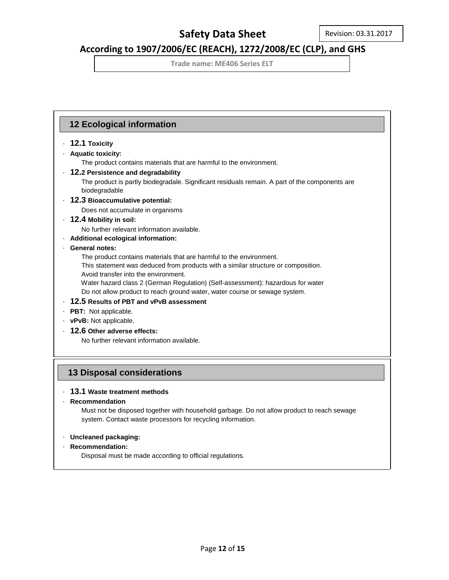## **According to 1907/2006/EC (REACH), 1272/2008/EC (CLP), and GHS**

**Trade name: ME406 Series ELT**

### **12 Ecological information**

### · **12.1 Toxicity**

### · **Aquatic toxicity:**

The product contains materials that are harmful to the environment.

### · **12.2 Persistence and degradability**

 The product is partly biodegradale. Significant residuals remain. A part of the components are biodegradable

· **12.3 Bioaccumulative potential:**

Does not accumulate in organisms

### · **12.4 Mobility in soil:**

No further relevant information available.

· **Additional ecological information:**

### · **General notes:**

The product contains materials that are harmful to the environment.

 This statement was deduced from products with a similar structure or composition. Avoid transfer into the environment.

 Water hazard class 2 (German Regulation) (Self-assessment): hazardous for water Do not allow product to reach ground water, water course or sewage system.

- · **12.5 Results of PBT and vPvB assessment**
- · **PBT:** Not applicable.
- · **vPvB:** Not applicable.
- · **12.6 Other adverse effects:**

No further relevant information available.

### **13 Disposal considerations**

### · **13.1 Waste treatment methods**

· **Recommendation**

 Must not be disposed together with household garbage. Do not allow product to reach sewage system. Contact waste processors for recycling information.

#### · **Uncleaned packaging:**

#### · **Recommendation:**

Disposal must be made according to official regulations.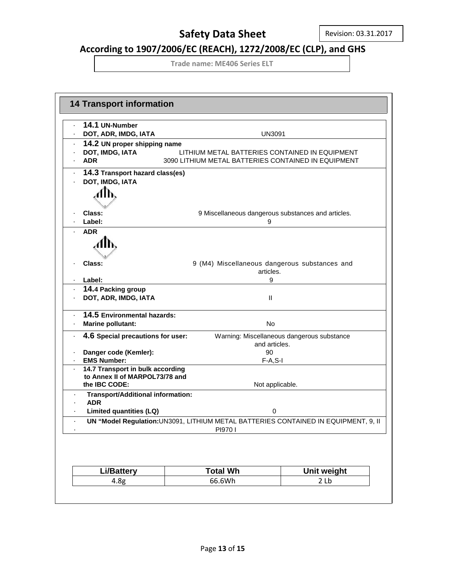# **According to 1907/2006/EC (REACH), 1272/2008/EC (CLP), and GHS**

| 14.1 UN-Number<br>DOT, ADR, IMDG, IATA                                                                              | <b>UN3091</b>                                                                                  |                                            |
|---------------------------------------------------------------------------------------------------------------------|------------------------------------------------------------------------------------------------|--------------------------------------------|
|                                                                                                                     |                                                                                                |                                            |
| 14.2 UN proper shipping name<br>DOT, IMDG, IATA                                                                     |                                                                                                |                                            |
| LITHIUM METAL BATTERIES CONTAINED IN EQUIPMENT<br><b>ADR</b><br>3090 LITHIUM METAL BATTERIES CONTAINED IN EQUIPMENT |                                                                                                |                                            |
| 14.3 Transport hazard class(es)                                                                                     |                                                                                                |                                            |
| DOT, IMDG, IATA                                                                                                     |                                                                                                |                                            |
|                                                                                                                     |                                                                                                |                                            |
|                                                                                                                     |                                                                                                |                                            |
| Class:                                                                                                              | 9 Miscellaneous dangerous substances and articles.                                             |                                            |
| Label:                                                                                                              | 9                                                                                              |                                            |
| <b>ADR</b>                                                                                                          |                                                                                                |                                            |
| 41 N                                                                                                                |                                                                                                |                                            |
|                                                                                                                     |                                                                                                |                                            |
| Class:                                                                                                              | 9 (M4) Miscellaneous dangerous substances and                                                  |                                            |
|                                                                                                                     | articles.                                                                                      |                                            |
| Label:                                                                                                              | 9                                                                                              |                                            |
| 14.4 Packing group                                                                                                  |                                                                                                |                                            |
| DOT, ADR, IMDG, IATA                                                                                                | Ш                                                                                              |                                            |
| 14.5 Environmental hazards:                                                                                         |                                                                                                |                                            |
| <b>Marine pollutant:</b>                                                                                            | No                                                                                             |                                            |
| 4.6 Special precautions for user:                                                                                   |                                                                                                | Warning: Miscellaneous dangerous substance |
|                                                                                                                     | and articles.                                                                                  |                                            |
| Danger code (Kemler):                                                                                               | 90                                                                                             |                                            |
| <b>EMS Number:</b><br>14.7 Transport in bulk according                                                              | $F-A, S-I$                                                                                     |                                            |
| to Annex II of MARPOL73/78 and                                                                                      |                                                                                                |                                            |
| the IBC CODE:                                                                                                       | Not applicable.                                                                                |                                            |
| Transport/Additional information:                                                                                   |                                                                                                |                                            |
| <b>ADR</b>                                                                                                          |                                                                                                |                                            |
| <b>Limited quantities (LQ)</b>                                                                                      | 0                                                                                              |                                            |
|                                                                                                                     | UN "Model Regulation: UN3091, LITHIUM METAL BATTERIES CONTAINED IN EQUIPMENT, 9, II<br>PI970 I |                                            |
|                                                                                                                     |                                                                                                |                                            |
|                                                                                                                     |                                                                                                |                                            |
| <b>Li/Battery</b>                                                                                                   | <b>Total Wh</b>                                                                                | Unit weight                                |
| 4.8 <sub>g</sub>                                                                                                    | 66.6Wh                                                                                         | 2 <sub>th</sub>                            |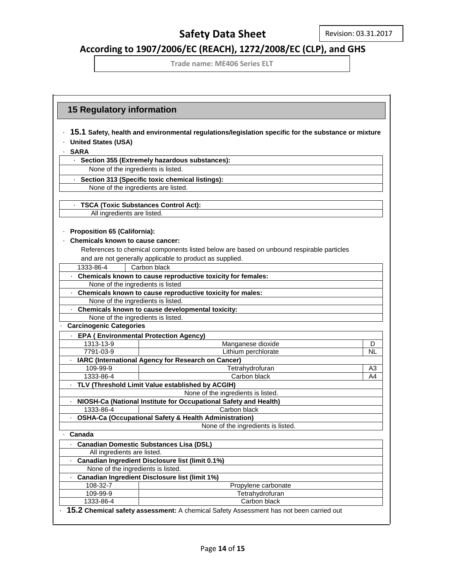# **According to 1907/2006/EC (REACH), 1272/2008/EC (CLP), and GHS**

|                                    | <b>15 Regulatory information</b>                                                                                                                                                                |                |  |
|------------------------------------|-------------------------------------------------------------------------------------------------------------------------------------------------------------------------------------------------|----------------|--|
|                                    | 15.1 Safety, health and environmental regulations/legislation specific for the substance or mixture                                                                                             |                |  |
| <b>United States (USA)</b>         |                                                                                                                                                                                                 |                |  |
| <b>SARA</b>                        |                                                                                                                                                                                                 |                |  |
|                                    | · Section 355 (Extremely hazardous substances):                                                                                                                                                 |                |  |
| None of the ingredients is listed. |                                                                                                                                                                                                 |                |  |
|                                    | · Section 313 (Specific toxic chemical listings):                                                                                                                                               |                |  |
|                                    | None of the ingredients are listed.                                                                                                                                                             |                |  |
|                                    |                                                                                                                                                                                                 |                |  |
|                                    | <b>TSCA (Toxic Substances Control Act):</b>                                                                                                                                                     |                |  |
|                                    | All ingredients are listed.                                                                                                                                                                     |                |  |
| Proposition 65 (California):       | <b>Chemicals known to cause cancer:</b><br>References to chemical components listed below are based on unbound respirable particles<br>and are not generally applicable to product as supplied. |                |  |
| 1333-86-4                          | Carbon black                                                                                                                                                                                    |                |  |
|                                    | · Chemicals known to cause reproductive toxicity for females:                                                                                                                                   |                |  |
|                                    | None of the ingredients is listed                                                                                                                                                               |                |  |
|                                    | · Chemicals known to cause reproductive toxicity for males:                                                                                                                                     |                |  |
|                                    | None of the ingredients is listed.                                                                                                                                                              |                |  |
|                                    | · Chemicals known to cause developmental toxicity:                                                                                                                                              |                |  |
|                                    | None of the ingredients is listed.                                                                                                                                                              |                |  |
| <b>Carcinogenic Categories</b>     |                                                                                                                                                                                                 |                |  |
|                                    | - EPA (Environmental Protection Agency)                                                                                                                                                         |                |  |
| 1313-13-9                          | Manganese dioxide                                                                                                                                                                               | D              |  |
| 7791-03-9                          | Lithium perchlorate                                                                                                                                                                             | <b>NL</b>      |  |
|                                    | · IARC (International Agency for Research on Cancer)                                                                                                                                            |                |  |
| 109-99-9                           | Tetrahydrofuran                                                                                                                                                                                 | A <sub>3</sub> |  |
| 1333-86-4                          | Carbon black                                                                                                                                                                                    | A4             |  |
|                                    | · TLV (Threshold Limit Value established by ACGIH)                                                                                                                                              |                |  |
|                                    | None of the ingredients is listed.                                                                                                                                                              |                |  |
|                                    | NIOSH-Ca (National Institute for Occupational Safety and Health)                                                                                                                                |                |  |
| 1333-86-4                          | Carbon black                                                                                                                                                                                    |                |  |
|                                    | - OSHA-Ca (Occupational Safety & Health Administration)                                                                                                                                         |                |  |
|                                    | None of the ingredients is listed.                                                                                                                                                              |                |  |
| · Canada                           |                                                                                                                                                                                                 |                |  |
|                                    | <b>Canadian Domestic Substances Lisa (DSL)</b>                                                                                                                                                  |                |  |
|                                    | All ingredients are listed.                                                                                                                                                                     |                |  |
|                                    | Canadian Ingredient Disclosure list (limit 0.1%)                                                                                                                                                |                |  |
|                                    | None of the ingredients is listed.                                                                                                                                                              |                |  |
|                                    | Canadian Ingredient Disclosure list (limit 1%)                                                                                                                                                  |                |  |
| 108-32-7                           | Propylene carbonate                                                                                                                                                                             |                |  |
| 109-99-9                           | Tetrahydrofuran                                                                                                                                                                                 |                |  |
| 1333-86-4                          | Carbon black                                                                                                                                                                                    |                |  |